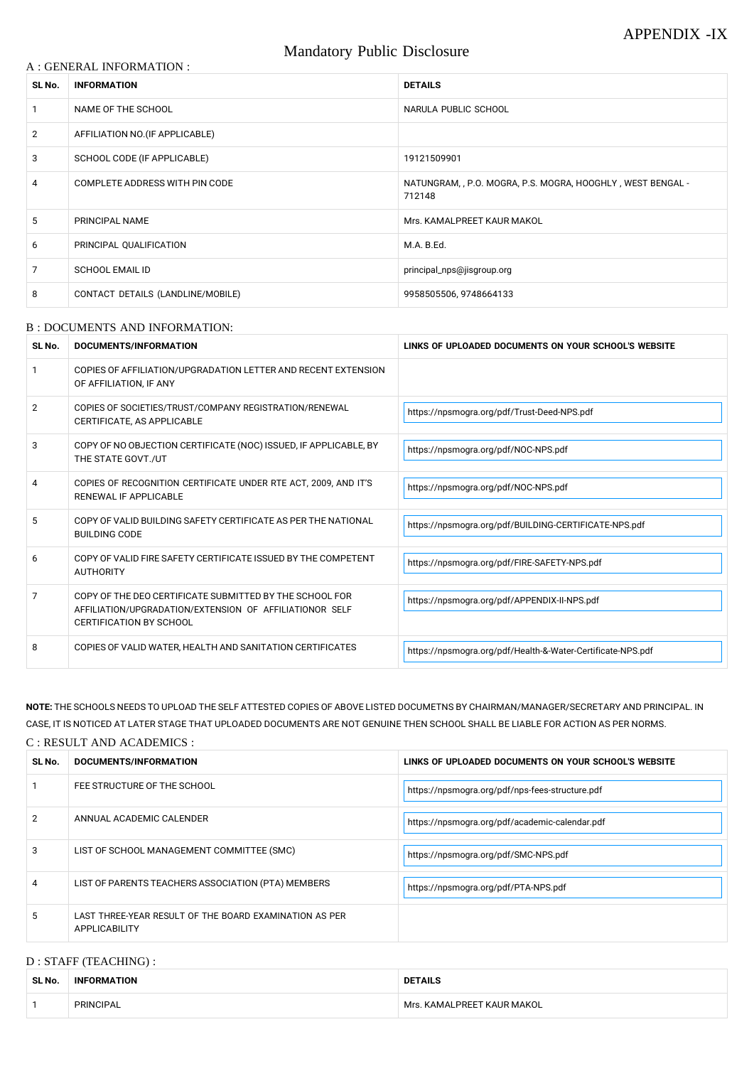### A : GENERAL INFORMATION :

# Mandatory Public Disclosure

| SL No.         | <b>INFORMATION</b>                | <b>DETAILS</b>                                                        |
|----------------|-----------------------------------|-----------------------------------------------------------------------|
|                | NAME OF THE SCHOOL                | NARULA PUBLIC SCHOOL                                                  |
| $\overline{2}$ | AFFILIATION NO. (IF APPLICABLE)   |                                                                       |
| 3              | SCHOOL CODE (IF APPLICABLE)       | 19121509901                                                           |
| 4              | COMPLETE ADDRESS WITH PIN CODE    | NATUNGRAM, , P.O. MOGRA, P.S. MOGRA, HOOGHLY, WEST BENGAL -<br>712148 |
| 5              | PRINCIPAL NAME                    | Mrs. KAMALPREET KAUR MAKOL                                            |
| 6              | PRINCIPAL QUALIFICATION           | M.A. B.Ed.                                                            |
| 7              | <b>SCHOOL EMAIL ID</b>            | principal_nps@jisgroup.org                                            |
| 8              | CONTACT DETAILS (LANDLINE/MOBILE) | 9958505506, 9748664133                                                |

#### B : DOCUMENTS AND INFORMATION:

| SL No. | DOCUMENTS/INFORMATION                                                                                                                                | LINKS OF UPLOADED DOCUMENTS ON YOUR SCHOOL'S WEBSITE        |
|--------|------------------------------------------------------------------------------------------------------------------------------------------------------|-------------------------------------------------------------|
|        | COPIES OF AFFILIATION/UPGRADATION LETTER AND RECENT EXTENSION<br>OF AFFILIATION, IF ANY                                                              |                                                             |
| 2      | COPIES OF SOCIETIES/TRUST/COMPANY REGISTRATION/RENEWAL<br>CERTIFICATE, AS APPLICABLE                                                                 | https://npsmogra.org/pdf/Trust-Deed-NPS.pdf                 |
| 3      | COPY OF NO OBJECTION CERTIFICATE (NOC) ISSUED, IF APPLICABLE, BY<br>THE STATE GOVT./UT                                                               | https://npsmogra.org/pdf/NOC-NPS.pdf                        |
| 4      | COPIES OF RECOGNITION CERTIFICATE UNDER RTE ACT, 2009, AND IT'S<br>RENEWAL IF APPLICABLE                                                             | https://npsmogra.org/pdf/NOC-NPS.pdf                        |
| 5      | COPY OF VALID BUILDING SAFETY CERTIFICATE AS PER THE NATIONAL<br><b>BUILDING CODE</b>                                                                | https://npsmogra.org/pdf/BUILDING-CERTIFICATE-NPS.pdf       |
| 6      | COPY OF VALID FIRE SAFETY CERTIFICATE ISSUED BY THE COMPETENT<br><b>AUTHORITY</b>                                                                    | https://npsmogra.org/pdf/FIRE-SAFETY-NPS.pdf                |
| 7      | COPY OF THE DEO CERTIFICATE SUBMITTED BY THE SCHOOL FOR<br>AFFILIATION/UPGRADATION/EXTENSION OF AFFILIATIONOR SELF<br><b>CERTIFICATION BY SCHOOL</b> | https://npsmogra.org/pdf/APPENDIX-II-NPS.pdf                |
| 8      | COPIES OF VALID WATER, HEALTH AND SANITATION CERTIFICATES                                                                                            | https://npsmogra.org/pdf/Health-&-Water-Certificate-NPS.pdf |

**NOTE:** THE SCHOOLS NEEDS TO UPLOAD THE SELF ATTESTED COPIES OF ABOVE LISTED DOCUMETNS BY CHAIRMAN/MANAGER/SECRETARY AND PRINCIPAL. IN CASE, IT IS NOTICED AT LATER STAGE THAT UPLOADED DOCUMENTS ARE NOT GENUINE THEN SCHOOL SHALL BE LIABLE FOR ACTION AS PER NORMS.

### C : RESULT AND ACADEMICS :

| SL No. | DOCUMENTS/INFORMATION       | LINKS OF UPLOADED DOCUMENTS ON YOUR SCHOOL'S WEBSITE |
|--------|-----------------------------|------------------------------------------------------|
|        | FEE STRUCTURE OF THE SCHOOL | https://npsmogra.org/pdf/nps-fees-structure.pdf      |

| 2              | ANNUAL ACADEMIC CALENDER                                                | https://npsmogra.org/pdf/academic-calendar.pdf |
|----------------|-------------------------------------------------------------------------|------------------------------------------------|
| 3              | LIST OF SCHOOL MANAGEMENT COMMITTEE (SMC)                               | https://npsmogra.org/pdf/SMC-NPS.pdf           |
| $\overline{4}$ | LIST OF PARENTS TEACHERS ASSOCIATION (PTA) MEMBERS                      | https://npsmogra.org/pdf/PTA-NPS.pdf           |
| 5              | LAST THREE-YEAR RESULT OF THE BOARD EXAMINATION AS PER<br>APPLICABILITY |                                                |

# D : STAFF (TEACHING) :

| SL No. | <b>INFORMATION</b> | <b>DETAILS</b>             |
|--------|--------------------|----------------------------|
|        | PRINCIPAL          | Mrs. KAMALPREET KAUR MAKOL |